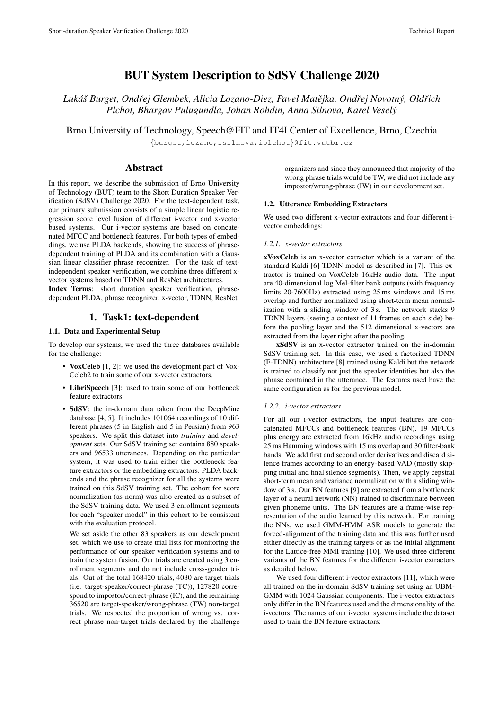# BUT System Description to SdSV Challenge 2020

*Luka´s Burget, Ond ˇ rej Glembek, Alicia Lozano-Diez, Pavel Mat ˇ ejka, Ond ˇ rej Novotn ˇ y, Old ´ rich ˇ Plchot, Bhargav Pulugundla, Johan Rohdin, Anna Silnova, Karel Vesely´*

Brno University of Technology, Speech@FIT and IT4I Center of Excellence, Brno, Czechia

{burget,lozano,isilnova,iplchot}@fit.vutbr.cz

# Abstract

In this report, we describe the submission of Brno University of Technology (BUT) team to the Short Duration Speaker Verification (SdSV) Challenge 2020. For the text-dependent task, our primary submission consists of a simple linear logistic regression score level fusion of different i-vector and x-vector based systems. Our i-vector systems are based on concatenated MFCC and bottleneck features. For both types of embeddings, we use PLDA backends, showing the success of phrasedependent training of PLDA and its combination with a Gaussian linear classifier phrase recognizer. For the task of textindependent speaker verification, we combine three different xvector systems based on TDNN and ResNet architectures.

Index Terms: short duration speaker verification, phrasedependent PLDA, phrase recognizer, x-vector, TDNN, ResNet

# 1. Task1: text-dependent

# 1.1. Data and Experimental Setup

To develop our systems, we used the three databases available for the challenge:

- VoxCeleb [\[1,](#page-3-0) [2\]](#page-3-1): we used the development part of Vox-Celeb2 to train some of our x-vector extractors.
- LibriSpeech [\[3\]](#page-4-0): used to train some of our bottleneck feature extractors.
- SdSV: the in-domain data taken from the DeepMine database [\[4,](#page-4-1) [5\]](#page-4-2). It includes 101064 recordings of 10 different phrases (5 in English and 5 in Persian) from 963 speakers. We split this dataset into *training* and *development* sets. Our SdSV training set contains 880 speakers and 96533 utterances. Depending on the particular system, it was used to train either the bottleneck feature extractors or the embedding extractors. PLDA backends and the phrase recognizer for all the systems were trained on this SdSV training set. The cohort for score normalization (as-norm) was also created as a subset of the SdSV training data. We used 3 enrollment segments for each "speaker model" in this cohort to be consistent with the evaluation protocol.

We set aside the other 83 speakers as our development set, which we use to create trial lists for monitoring the performance of our speaker verification systems and to train the system fusion. Our trials are created using 3 enrollment segments and do not include cross-gender trials. Out of the total 168420 trials, 4080 are target trials (i.e. target-speaker/correct-phrase (TC)), 127820 correspond to impostor/correct-phrase (IC), and the remaining 36520 are target-speaker/wrong-phrase (TW) non-target trials. We respected the proportion of wrong vs. correct phrase non-target trials declared by the challenge organizers and since they announced that majority of the wrong phrase trials would be TW, we did not include any impostor/wrong-phrase (IW) in our development set.

### 1.2. Utterance Embedding Extractors

We used two different x-vector extractors and four different ivector embeddings:

### <span id="page-0-0"></span>*1.2.1. x-vector extractors*

xVoxCeleb is an x-vector extractor which is a variant of the standard Kaldi [\[6\]](#page-4-3) TDNN model as described in [\[7\]](#page-4-4). This extractor is trained on VoxCeleb 16kHz audio data. The input are 40-dimensional log Mel-filter bank outputs (with frequency limits 20-7600Hz) extracted using 25 ms windows and 15 ms overlap and further normalized using short-term mean normalization with a sliding window of 3s. The network stacks 9 TDNN layers (seeing a context of 11 frames on each side) before the pooling layer and the 512 dimensional x-vectors are extracted from the layer right after the pooling.

xSdSV is an x-vector extractor trained on the in-domain SdSV training set. In this case, we used a factorized TDNN (F-TDNN) architecture [\[8\]](#page-4-5) trained using Kaldi but the network is trained to classify not just the speaker identities but also the phrase contained in the utterance. The features used have the same configuration as for the previous model.

#### *1.2.2. i-vector extractors*

For all our i-vector extractors, the input features are concatenated MFCCs and bottleneck features (BN). 19 MFCCs plus energy are extracted from 16kHz audio recordings using 25 ms Hamming windows with 15 ms overlap and 30 filter-bank bands. We add first and second order derivatives and discard silence frames according to an energy-based VAD (mostly skipping initial and final silence segments). Then, we apply cepstral short-term mean and variance normalization with a sliding window of 3 s. Our BN features [\[9\]](#page-4-6) are extracted from a bottleneck layer of a neural network (NN) trained to discriminate between given phoneme units. The BN features are a frame-wise representation of the audio learned by this network. For training the NNs, we used GMM-HMM ASR models to generate the forced-alignment of the training data and this was further used either directly as the training targets or as the initial alignment for the Lattice-free MMI training [\[10\]](#page-4-7). We used three different variants of the BN features for the different i-vector extractors as detailed below.

We used four different i-vector extractors [\[11\]](#page-4-8), which were all trained on the in-domain SdSV training set using an UBM-GMM with 1024 Gaussian components. The i-vector extractors only differ in the BN features used and the dimensionality of the i-vectors. The names of our i-vector systems include the dataset used to train the BN feature extractors: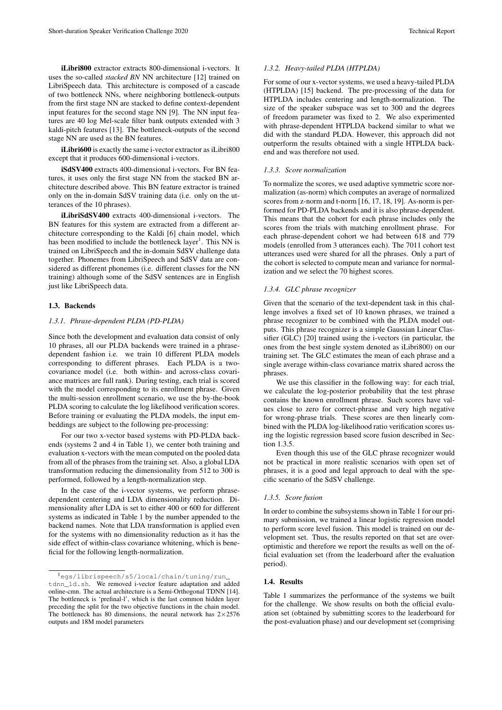iLibri800 extractor extracts 800-dimensional i-vectors. It uses the so-called *stacked BN* NN architecture [\[12\]](#page-4-9) trained on LibriSpeech data. This architecture is composed of a cascade of two bottleneck NNs, where neighboring bottleneck-outputs from the first stage NN are stacked to define context-dependent input features for the second stage NN [\[9\]](#page-4-6). The NN input features are 40 log Mel-scale filter bank outputs extended with 3 kaldi-pitch features [\[13\]](#page-4-10). The bottleneck-outputs of the second stage NN are used as the BN features.

iLibri600 is exactly the same i-vector extractor as iLibri800 except that it produces 600-dimensional i-vectors.

iSdSV400 extracts 400-dimensional i-vectors. For BN features, it uses only the first stage NN from the stacked BN architecture described above. This BN feature extractor is trained only on the in-domain SdSV training data (i.e. only on the utterances of the 10 phrases).

iLibriSdSV400 extracts 400-dimensional i-vectors. The BN features for this system are extracted from a different architecture corresponding to the Kaldi [\[6\]](#page-4-3) chain model, which has been modified to include the bottleneck layer<sup>[1](#page-1-0)</sup>. This NN is trained on LibriSpeech and the in-domain SdSV challenge data together. Phonemes from LibriSpeech and SdSV data are considered as different phonemes (i.e. different classes for the NN training) although some of the SdSV sentences are in English just like LibriSpeech data.

#### 1.3. Backends

#### *1.3.1. Phrase-dependent PLDA (PD-PLDA)*

Since both the development and evaluation data consist of only 10 phrases, all our PLDA backends were trained in a phrasedependent fashion i.e. we train 10 different PLDA models corresponding to different phrases. Each PLDA is a twocovariance model (i.e. both within- and across-class covariance matrices are full rank). During testing, each trial is scored with the model corresponding to its enrollment phrase. Given the multi-session enrollment scenario, we use the by-the-book PLDA scoring to calculate the log likelihood verification scores. Before training or evaluating the PLDA models, the input embeddings are subject to the following pre-processing:

For our two x-vector based systems with PD-PLDA backends (systems 2 and 4 in Table [1\)](#page-2-0), we center both training and evaluation x-vectors with the mean computed on the pooled data from all of the phrases from the training set. Also, a global LDA transformation reducing the dimensionality from 512 to 300 is performed, followed by a length-normalization step.

In the case of the i-vector systems, we perform phrasedependent centering and LDA dimensionality reduction. Dimensionality after LDA is set to either 400 or 600 for different systems as indicated in Table [1](#page-2-0) by the number appended to the backend names. Note that LDA transformation is applied even for the systems with no dimensionality reduction as it has the side effect of within-class covariance whitening, which is beneficial for the following length-normalization.

## *1.3.2. Heavy-tailed PLDA (HTPLDA)*

For some of our x-vector systems, we used a heavy-tailed PLDA (HTPLDA) [\[15\]](#page-4-12) backend. The pre-processing of the data for HTPLDA includes centering and length-normalization. The size of the speaker subspace was set to 300 and the degrees of freedom parameter was fixed to 2. We also experimented with phrase-dependent HTPLDA backend similar to what we did with the standard PLDA. However, this approach did not outperform the results obtained with a single HTPLDA backend and was therefore not used.

#### *1.3.3. Score normalization*

To normalize the scores, we used adaptive symmetric score normalization (as-norm) which computes an average of normalized scores from z-norm and t-norm [\[16,](#page-4-13) [17,](#page-4-14) [18,](#page-4-15) [19\]](#page-4-16). As-norm is performed for PD-PLDA backends and it is also phrase-dependent. This means that the cohort for each phrase includes only the scores from the trials with matching enrollment phrase. For each phrase-dependent cohort we had between 618 and 779 models (enrolled from 3 utterances each). The 7011 cohort test utterances used were shared for all the phrases. Only a part of the cohort is selected to compute mean and variance for normalization and we select the 70 highest scores.

### *1.3.4. GLC phrase recognizer*

Given that the scenario of the text-dependent task in this challenge involves a fixed set of 10 known phrases, we trained a phrase recognizer to be combined with the PLDA model outputs. This phrase recognizer is a simple Gaussian Linear Classifier (GLC) [\[20\]](#page-4-17) trained using the i-vectors (in particular, the ones from the best single system denoted as iLibri800) on our training set. The GLC estimates the mean of each phrase and a single average within-class covariance matrix shared across the phrases.

We use this classifier in the following way: for each trial, we calculate the log-posterior probability that the test phrase contains the known enrollment phrase. Such scores have values close to zero for correct-phrase and very high negative for wrong-phrase trials. These scores are then linearly combined with the PLDA log-likelihood ratio verification scores using the logistic regression based score fusion described in Section [1.3.5.](#page-1-1)

Even though this use of the GLC phrase recognizer would not be practical in more realistic scenarios with open set of phrases, it is a good and legal approach to deal with the specific scenario of the SdSV challenge.

# <span id="page-1-1"></span>*1.3.5. Score fusion*

In order to combine the subsystems shown in Table [1](#page-2-0) for our primary submission, we trained a linear logistic regression model to perform score level fusion. This model is trained on our development set. Thus, the results reported on that set are overoptimistic and therefore we report the results as well on the official evaluation set (from the leaderboard after the evaluation period).

#### 1.4. Results

Table [1](#page-2-0) summarizes the performance of the systems we built for the challenge. We show results on both the official evaluation set (obtained by submitting scores to the leaderboard for the post-evaluation phase) and our development set (comprising

<span id="page-1-0"></span><sup>1</sup>[egs/librispeech/s5/local/chain/tuning/run\\_](egs/librispeech/s5/local/chain/tuning/run_tdnn_1d.sh) [tdnn\\_1d.sh](egs/librispeech/s5/local/chain/tuning/run_tdnn_1d.sh). We removed i-vector feature adaptation and added online-cmn. The actual architecture is a Semi-Orthogonal TDNN [\[14\]](#page-4-11). The bottleneck is 'prefinal-l', which is the last common hidden layer preceding the split for the two objective functions in the chain model. The bottleneck has 80 dimensions, the neural network has  $2\times2576$ outputs and 18M model parameters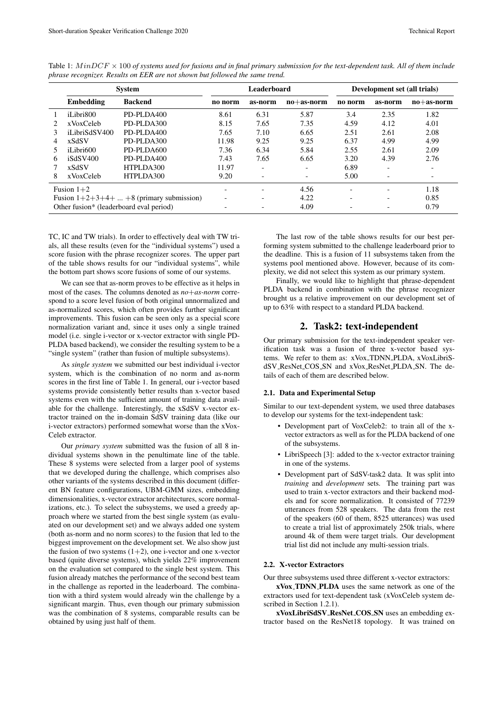|                                          | <b>System</b> |                | Leaderboard              |                          |              | Development set (all trials) |                          |                          |
|------------------------------------------|---------------|----------------|--------------------------|--------------------------|--------------|------------------------------|--------------------------|--------------------------|
|                                          | Embedding     | <b>Backend</b> | no norm                  | as-norm                  | $no+as-norm$ | no norm                      | as-norm                  | $no+as-norm$             |
|                                          | iLibri800     | PD-PLDA400     | 8.61                     | 6.31                     | 5.87         | 3.4                          | 2.35                     | 1.82                     |
|                                          | xVoxCeleb     | PD-PLDA300     | 8.15                     | 7.65                     | 7.35         | 4.59                         | 4.12                     | 4.01                     |
|                                          | iLibriSdSV400 | PD-PLDA400     | 7.65                     | 7.10                     | 6.65         | 2.51                         | 2.61                     | 2.08                     |
| 4                                        | xSdSV         | PD-PLDA300     | 11.98                    | 9.25                     | 9.25         | 6.37                         | 4.99                     | 4.99                     |
|                                          | iLibri600     | PD-PLDA600     | 7.36                     | 6.34                     | 5.84         | 2.55                         | 2.61                     | 2.09                     |
| 6                                        | iSdSV400      | PD-PLDA400     | 7.43                     | 7.65                     | 6.65         | 3.20                         | 4.39                     | 2.76                     |
|                                          | xSdSV         | HTPLDA300      | 11.97                    | $\overline{\phantom{0}}$ | -            | 6.89                         | $\overline{\phantom{0}}$ | $\overline{\phantom{a}}$ |
| 8                                        | xVoxCeleb     | HTPLDA300      | 9.20                     | $\overline{\phantom{0}}$ | -            | 5.00                         | $\overline{\phantom{0}}$ |                          |
| Fusion $1+2$                             |               |                |                          | $\overline{\phantom{0}}$ | 4.56         | $\overline{\phantom{0}}$     | $\overline{\phantom{a}}$ | 1.18                     |
| Fusion $1+2+3+4++8$ (primary submission) |               |                | $\overline{\phantom{0}}$ | $\overline{\phantom{0}}$ | 4.22         |                              |                          | 0.85                     |
| Other fusion* (leaderboard eval period)  |               |                |                          |                          | 4.09         |                              |                          | 0.79                     |

<span id="page-2-0"></span>Table 1:  $MinDCF \times 100$  of systems used for fusions and in final primary submission for the text-dependent task. All of them include *phrase recognizer. Results on EER are not shown but followed the same trend.*

TC, IC and TW trials). In order to effectively deal with TW trials, all these results (even for the "individual systems") used a score fusion with the phrase recognizer scores. The upper part of the table shows results for our "individual systems", while the bottom part shows score fusions of some of our systems.

We can see that as-norm proves to be effective as it helps in most of the cases. The columns denoted as *no*+*as-norm* correspond to a score level fusion of both original unnormalized and as-normalized scores, which often provides further significant improvements. This fusion can be seen only as a special score normalization variant and, since it uses only a single trained model (i.e. single i-vector or x-vector extractor with single PD-PLDA based backend), we consider the resulting system to be a "single system" (rather than fusion of multiple subsystems).

As *single system* we submitted our best individual i-vector system, which is the combination of no norm and as-norm scores in the first line of Table [1.](#page-2-0) In general, our i-vector based systems provide consistently better results than x-vector based systems even with the sufficient amount of training data available for the challenge. Interestingly, the xSdSV x-vector extractor trained on the in-domain SdSV training data (like our i-vector extractors) performed somewhat worse than the xVox-Celeb extractor.

Our *primary system* submitted was the fusion of all 8 individual systems shown in the penultimate line of the table. These 8 systems were selected from a larger pool of systems that we developed during the challenge, which comprises also other variants of the systems described in this document (different BN feature configurations, UBM-GMM sizes, embedding dimensionalities, x-vector extractor architectures, score normalizations, etc.). To select the subsystems, we used a greedy approach where we started from the best single system (as evaluated on our development set) and we always added one system (both as-norm and no norm scores) to the fusion that led to the biggest improvement on the development set. We also show just the fusion of two systems  $(1+2)$ , one i-vector and one x-vector based (quite diverse systems), which yields 22% improvement on the evaluation set compared to the single best system. This fusion already matches the performance of the second best team in the challenge as reported in the leaderboard. The combination with a third system would already win the challenge by a significant margin. Thus, even though our primary submission was the combination of 8 systems, comparable results can be obtained by using just half of them.

The last row of the table shows results for our best performing system submitted to the challenge leaderboard prior to the deadline. This is a fusion of 11 subsystems taken from the systems pool mentioned above. However, because of its complexity, we did not select this system as our primary system.

Finally, we would like to highlight that phrase-dependent PLDA backend in combination with the phrase recognizer brought us a relative improvement on our development set of up to 63% with respect to a standard PLDA backend.

# 2. Task2: text-independent

Our primary submission for the text-independent speaker verification task was a fusion of three x-vector based systems. We refer to them as: xVox TDNN PLDA, xVoxLibriSdSV ResNet COS SN and xVox ResNet PLDA SN. The details of each of them are described below.

### 2.1. Data and Experimental Setup

Similar to our text-dependent system, we used three databases to develop our systems for the text-independent task:

- Development part of VoxCeleb2: to train all of the xvector extractors as well as for the PLDA backend of one of the subsystems.
- LibriSpeech [\[3\]](#page-4-0): added to the x-vector extractor training in one of the systems.
- Development part of SdSV-task2 data. It was split into *training* and *development* sets. The training part was used to train x-vector extractors and their backend models and for score normalization. It consisted of 77239 utterances from 528 speakers. The data from the rest of the speakers (60 of them, 8525 utterances) was used to create a trial list of approximately 250k trials, where around 4k of them were target trials. Our development trial list did not include any multi-session trials.

#### 2.2. X-vector Extractors

Our three subsystems used three different x-vector extractors:

xVox TDNN PLDA uses the same network as one of the extractors used for text-dependent task (xVoxCeleb system described in Section [1.2.1\)](#page-0-0).

xVoxLibriSdSV ResNet COS SN uses an embedding extractor based on the ResNet18 topology. It was trained on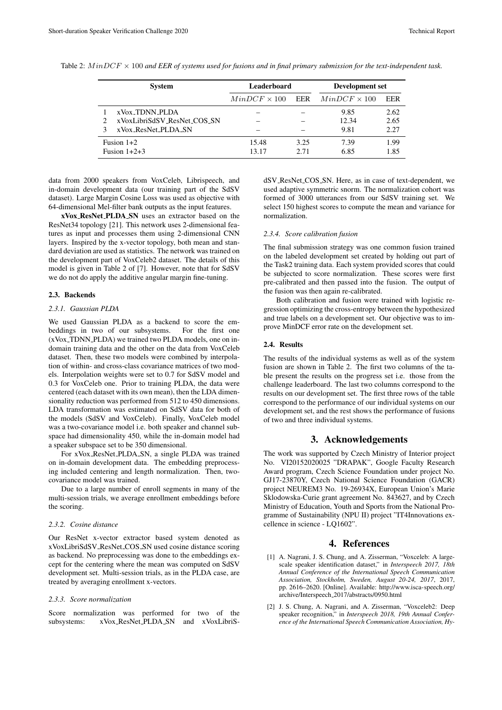|                | <b>System</b>               | Leaderboard         |      | Development set     |      |  |
|----------------|-----------------------------|---------------------|------|---------------------|------|--|
|                |                             | $MinDCF \times 100$ | EER  | $MinDCF \times 100$ | EER  |  |
|                | xVox_TDNN_PLDA              |                     |      | 9.85                | 2.62 |  |
| $\mathcal{L}$  | xVoxLibriSdSV_ResNet_COS_SN |                     |      | 12.34               | 2.65 |  |
|                | xVox_ResNet_PLDA_SN         |                     |      | 9.81                | 2.27 |  |
| Fusion $1+2$   |                             | 15.48               | 3.25 | 7.39                | 1.99 |  |
| Fusion $1+2+3$ |                             | 13.17               | 2.71 | 6.85                | 1.85 |  |

<span id="page-3-2"></span>Table 2: M inDCF × 100 *and EER of systems used for fusions and in final primary submission for the text-independent task.*

data from 2000 speakers from VoxCeleb, Librispeech, and in-domain development data (our training part of the SdSV dataset). Large Margin Cosine Loss was used as objective with 64-dimensional Mel-filter bank outputs as the input features.

xVox ResNet PLDA SN uses an extractor based on the ResNet34 topology [\[21\]](#page-4-18). This network uses 2-dimensional features as input and processes them using 2-dimensional CNN layers. Inspired by the x-vector topology, both mean and standard deviation are used as statistics. The network was trained on the development part of VoxCeleb2 dataset. The details of this model is given in Table 2 of [\[7\]](#page-4-4). However, note that for SdSV we do not do apply the additive angular margin fine-tuning.

#### 2.3. Backends

### *2.3.1. Gaussian PLDA*

We used Gaussian PLDA as a backend to score the embeddings in two of our subsystems. For the first one (xVox TDNN PLDA) we trained two PLDA models, one on indomain training data and the other on the data from VoxCeleb dataset. Then, these two models were combined by interpolation of within- and cross-class covariance matrices of two models. Interpolation weights were set to 0.7 for SdSV model and 0.3 for VoxCeleb one. Prior to training PLDA, the data were centered (each dataset with its own mean), then the LDA dimensionality reduction was performed from 512 to 450 dimensions. LDA transformation was estimated on SdSV data for both of the models (SdSV and VoxCeleb). Finally, VoxCeleb model was a two-covariance model i.e. both speaker and channel subspace had dimensionality 450, while the in-domain model had a speaker subspace set to be 350 dimensional.

For xVox ResNet PLDA SN, a single PLDA was trained on in-domain development data. The embedding preprocessing included centering and length normalization. Then, twocovariance model was trained.

Due to a large number of enroll segments in many of the multi-session trials, we average enrollment embeddings before the scoring.

#### *2.3.2. Cosine distance*

Our ResNet x-vector extractor based system denoted as xVoxLibriSdSV ResNet COS SN used cosine distance scoring as backend. No preprocessing was done to the embeddings except for the centering where the mean was computed on SdSV development set. Multi-session trials, as in the PLDA case, are treated by averaging enrollment x-vectors.

#### *2.3.3. Score normalization*

Score normalization was performed for two of the subsystems: xVox\_ResNet\_PLDA\_SN and xVoxLibriS-

dSV\_ResNet\_COS\_SN. Here, as in case of text-dependent, we used adaptive symmetric snorm. The normalization cohort was formed of 3000 utterances from our SdSV training set. We select 150 highest scores to compute the mean and variance for normalization.

### *2.3.4. Score calibration fusion*

The final submission strategy was one common fusion trained on the labeled development set created by holding out part of the Task2 training data. Each system provided scores that could be subjected to score normalization. These scores were first pre-calibrated and then passed into the fusion. The output of the fusion was then again re-calibrated.

Both calibration and fusion were trained with logistic regression optimizing the cross-entropy between the hypothesized and true labels on a development set. Our objective was to improve MinDCF error rate on the development set.

#### 2.4. Results

The results of the individual systems as well as of the system fusion are shown in Table [2.](#page-3-2) The first two columns of the table present the results on the progress set i.e. those from the challenge leaderboard. The last two columns correspond to the results on our development set. The first three rows of the table correspond to the performance of our individual systems on our development set, and the rest shows the performance of fusions of two and three individual systems.

# 3. Acknowledgements

The work was supported by Czech Ministry of Interior project No. VI20152020025 "DRAPAK", Google Faculty Research Award program, Czech Science Foundation under project No. GJ17-23870Y, Czech National Science Foundation (GACR) project NEUREM3 No. 19-26934X, European Union's Marie Sklodowska-Curie grant agreement No. 843627, and by Czech Ministry of Education, Youth and Sports from the National Programme of Sustainability (NPU II) project "IT4Innovations excellence in science - LQ1602".

### 4. References

- <span id="page-3-0"></span>[1] A. Nagrani, J. S. Chung, and A. Zisserman, "Voxceleb: A largescale speaker identification dataset," in *Interspeech 2017, 18th Annual Conference of the International Speech Communication Association, Stockholm, Sweden, August 20-24, 2017*, 2017, pp. 2616–2620. [Online]. Available: [http://www.isca-speech.org/](http://www.isca-speech.org/archive/Interspeech_2017/abstracts/0950.html) archive/Interspeech [2017/abstracts/0950.html](http://www.isca-speech.org/archive/Interspeech_2017/abstracts/0950.html)
- <span id="page-3-1"></span>[2] J. S. Chung, A. Nagrani, and A. Zisserman, "Voxceleb2: Deep speaker recognition," in *Interspeech 2018, 19th Annual Conference of the International Speech Communication Association, Hy-*